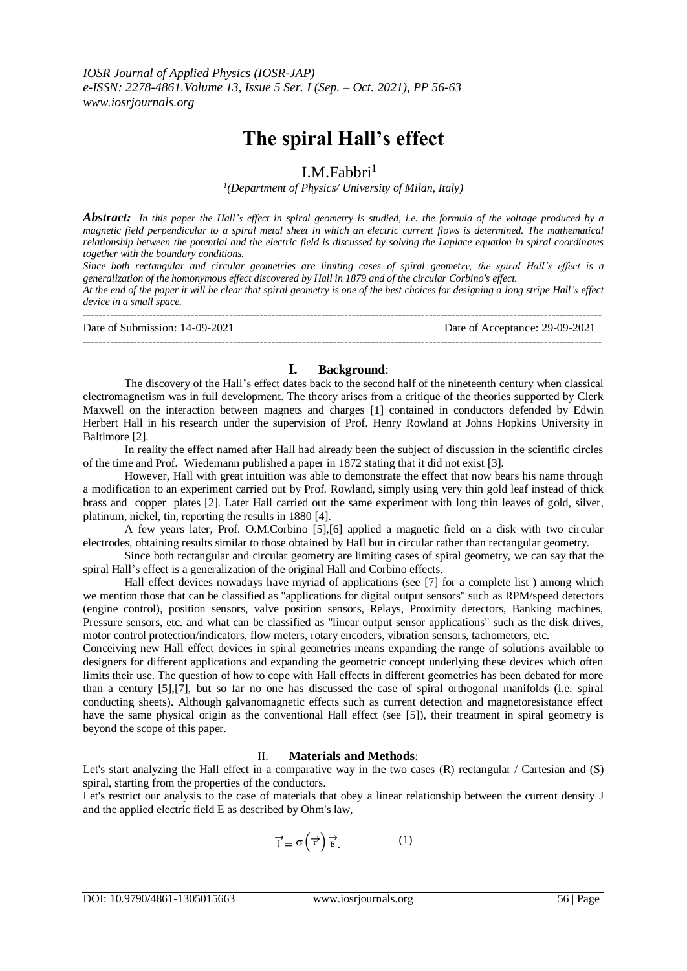# **The spiral Hall's effect**

## I.M.Fabbri $<sup>1</sup>$ </sup>

*1 (Department of Physics/ University of Milan, Italy)* 

*Abstract: In this paper the Hall's effect in spiral geometry is studied, i.e. the formula of the voltage produced by a magnetic field perpendicular to a spiral metal sheet in which an electric current flows is determined. The mathematical relationship between the potential and the electric field is discussed by solving the Laplace equation in spiral coordinates together with the boundary conditions.* 

*Since both rectangular and circular geometries are limiting cases of spiral geometry, the spiral Hall's effect is a generalization of the homonymous effect discovered by Hall in 1879 and of the circular Corbino's effect.*

*At the end of the paper it will be clear that spiral geometry is one of the best choices for designing a long stripe Hall's effect device in a small space.*

---------------------------------------------------------------------------------------------------------------------------------------

--------------------------------------------------------------------------------------------------------------------------------------- Date of Submission: 14-09-2021 Date of Acceptance: 29-09-2021

## **I. Background**:

The discovery of the Hall's effect dates back to the second half of the nineteenth century when classical electromagnetism was in full development. The theory arises from a critique of the theories supported by Clerk Maxwell on the interaction between magnets and charges [\[1\]](#page-6-0) contained in conductors defended by Edwin Herbert Hall in his research under the supervision of Prof. Henry Rowland at Johns Hopkins University in Baltimor[e \[2\].](#page-6-1)

In reality the effect named after Hall had already been the subject of discussion in the scientific circles of the time and Prof. Wiedemann published a paper in 1872 stating that it did not exist [\[3\].](#page-6-2)

However, Hall with great intuition was able to demonstrate the effect that now bears his name through a modification to an experiment carried out by Prof. Rowland, simply using very thin gold leaf instead of thick brass and copper plates [\[2\].](#page-6-1) Later Hall carried out the same experiment with long thin leaves of gold, silver, platinum, nickel, tin, reporting the results in 1880 [\[4\].](#page-6-3)

A few years later, Prof. O.M.Corbino [\[5\]](#page-6-4)[,\[6\]](#page-6-5) applied a magnetic field on a disk with two circular electrodes, obtaining results similar to those obtained by Hall but in circular rather than rectangular geometry.

Since both rectangular and circular geometry are limiting cases of spiral geometry, we can say that the spiral Hall's effect is a generalization of the original Hall and Corbino effects.

Hall effect devices nowadays have myriad of applications (see [\[7\]](#page-7-0) for a complete list ) among which we mention those that can be classified as "applications for digital output sensors" such as RPM/speed detectors (engine control), position sensors, valve position sensors, Relays, Proximity detectors, Banking machines, Pressure sensors, etc. and what can be classified as "linear output sensor applications" such as the disk drives, motor control protection/indicators, flow meters, rotary encoders, vibration sensors, tachometers, etc.

Conceiving new Hall effect devices in spiral geometries means expanding the range of solutions available to designers for different applications and expanding the geometric concept underlying these devices which often limits their use. The question of how to cope with Hall effects in different geometries has been debated for more than a century [\[5\]](#page-6-4)[,\[7\],](#page-7-0) but so far no one has discussed the case of spiral orthogonal manifolds (i.e. spiral conducting sheets). Although galvanomagnetic effects such as current detection and magnetoresistance effect have the same physical origin as the conventional Hall effect (see [\[5\]\)](#page-6-4), their treatment in spiral geometry is beyond the scope of this paper.

## II. **Materials and Methods**:

Let's start analyzing the Hall effect in a comparative way in the two cases (R) rectangular / Cartesian and (S) spiral, starting from the properties of the conductors.

Let's restrict our analysis to the case of materials that obey a linear relationship between the current density J and the applied electric field E as described by Ohm's law,

$$
\overrightarrow{J} = \sigma\left(\overrightarrow{r}\right) \overrightarrow{E}.
$$
 (1)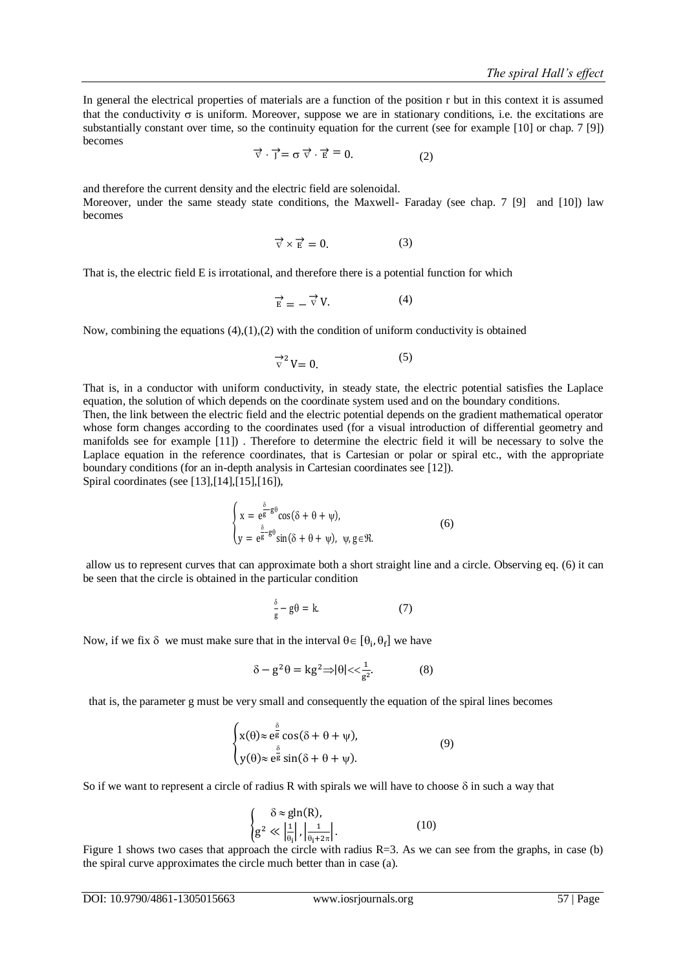In general the electrical properties of materials are a function of the position r but in this context it is assumed that the conductivity  $\sigma$  is uniform. Moreover, suppose we are in stationary conditions, i.e. the excitations are substantially constant over time, so the continuity equation for the current (see for example [\[10\]](#page-7-1) or chap. 7 [\[9\]\)](#page-7-2) becomes

 $\vec{\triangledown} \cdot \vec{j} = \sigma \vec{\triangledown} \cdot \vec{E} = 0.$  (2)

and therefore the current density and the electric field are solenoidal. Moreover, under the same steady state conditions, the Maxwell- Faraday (see chap. 7 [\[9\]](#page-7-2) and [\[10\]\)](#page-7-1) law becomes

$$
\overrightarrow{\nabla} \times \overrightarrow{E} = 0. \tag{3}
$$

That is, the electric field E is irrotational, and therefore there is a potential function for which

$$
\overrightarrow{E} = -\overrightarrow{\nabla} V.
$$
 (4)

Now, combining the equations  $(4)$ , $(1)$ , $(2)$  with the condition of uniform conductivity is obtained

$$
\overrightarrow{v}^2 V = 0. \tag{5}
$$

That is, in a conductor with uniform conductivity, in steady state, the electric potential satisfies the Laplace equation, the solution of which depends on the coordinate system used and on the boundary conditions. Then, the link between the electric field and the electric potential depends on the gradient mathematical operator whose form changes according to the coordinates used (for a visual introduction of differential geometry and manifolds see for example [\[11\]\)](#page-7-3) . Therefore to determine the electric field it will be necessary to solve the Laplace equation in the reference coordinates, that is Cartesian or polar or spiral etc., with the appropriate boundary conditions (for an in-depth analysis in Cartesian coordinates see [\[12\]\)](#page-7-4). Spiral coordinates (see [\[13\]](#page-7-5)[,\[14\],](#page-7-6)[\[15\],](#page-7-7)[\[16\]\)](#page-7-8),

$$
\begin{cases}\nx = e^{\frac{\delta}{8} - g\theta} \cos(\delta + \theta + \psi), \\
y = e^{\frac{\delta}{8} - g\theta} \sin(\delta + \theta + \psi), \ \psi, g \in \mathcal{R}.\n\end{cases}
$$
\n(6)

allow us to represent curves that can approximate both a short straight line and a circle. Observing eq. (6) it can be seen that the circle is obtained in the particular condition

$$
\frac{\delta}{g} - g\theta = k. \tag{7}
$$

Now, if we fix  $\delta$  we must make sure that in the interval  $\theta \in [\theta_i, \theta_f]$  we have

$$
\delta - g^2 \theta = \mathbf{k} g^2 \Rightarrow |\theta| < \frac{1}{g^2}.\tag{8}
$$

that is, the parameter g must be very small and consequently the equation of the spiral lines becomes

$$
\begin{cases} x(\theta) \approx e^{\frac{\delta}{8}} \cos(\delta + \theta + \psi), \\ y(\theta) \approx e^{\frac{\delta}{8}} \sin(\delta + \theta + \psi). \end{cases}
$$
(9)

So if we want to represent a circle of radius R with spirals we will have to choose  $\delta$  in such a way that

$$
\begin{cases}\n\delta \approx g \ln(R), \\
g^2 \ll \left| \frac{1}{\theta_i} \right|, \left| \frac{1}{\theta_i + 2\pi} \right|.\n\end{cases} \tag{10}
$$

[Figure 1](#page-2-0) shows two cases that approach the circle with radius  $R=3$ . As we can see from the graphs, in case (b) the spiral curve approximates the circle much better than in case (a).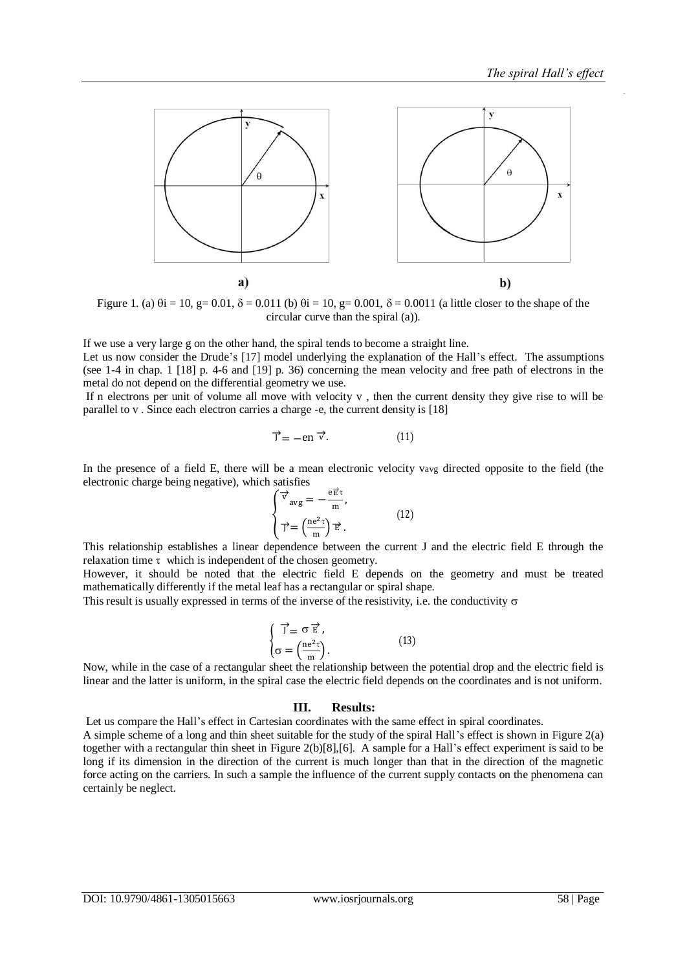

<span id="page-2-0"></span>Figure 1. (a)  $\theta$ i = 10, g= 0.01,  $\delta$  = 0.011 (b)  $\theta$ i = 10, g= 0.001,  $\delta$  = 0.0011 (a little closer to the shape of the circular curve than the spiral (a)).

If we use a very large g on the other hand, the spiral tends to become a straight line. Let us now consider the Drude's [\[17\]](#page-7-9) model underlying the explanation of the Hall's effect. The assumptions (see 1-4 in chap. 1 [\[18\]](#page-7-10) p. 4-6 and [\[19\]](#page-7-11) p. 36) concerning the mean velocity and free path of electrons in the metal do not depend on the differential geometry we use.

If n electrons per unit of volume all move with velocity v , then the current density they give rise to will be parallel to v . Since each electron carries a charge -e, the current density is [\[18\]](#page-7-10)

$$
\vec{J} = -en \vec{v}.\tag{11}
$$

In the presence of a field E, there will be a mean electronic velocity vavg directed opposite to the field (the electronic charge being negative), which satisfies

$$
\begin{cases}\n\vec{v}_{\text{avg}} = -\frac{e\vec{E}\tau}{m},\\
\vec{v} = \left(\frac{ne^{2}\tau}{m}\right)\vec{E}.\n\end{cases}
$$
\n(12)

This relationship establishes a linear dependence between the current J and the electric field E through the relaxation time  $\tau$  which is independent of the chosen geometry.

However, it should be noted that the electric field E depends on the geometry and must be treated mathematically differently if the metal leaf has a rectangular or spiral shape.

This result is usually expressed in terms of the inverse of the resistivity, i.e. the conductivity  $\sigma$ 

$$
\begin{cases}\n\vec{J} = \sigma \vec{E}, \\
\sigma = \left(\frac{ne^2\tau}{m}\right).\n\end{cases}
$$
\n(13)

Now, while in the case of a rectangular sheet the relationship between the potential drop and the electric field is linear and the latter is uniform, in the spiral case the electric field depends on the coordinates and is not uniform.

#### **III. Results:**

Let us compare the Hall's effect in Cartesian coordinates with the same effect in spiral coordinates. A simple scheme of a long and thin sheet suitable for the study of the spiral Hall's effect is shown i[n Figure 2\(](#page-3-0)a) together with a rectangular thin sheet in [Figure 2\(](#page-3-0)b[\)\[8\],](#page-7-12)[\[6\].](#page-6-5) A sample for a Hall's effect experiment is said to be long if its dimension in the direction of the current is much longer than that in the direction of the magnetic force acting on the carriers. In such a sample the influence of the current supply contacts on the phenomena can certainly be neglect.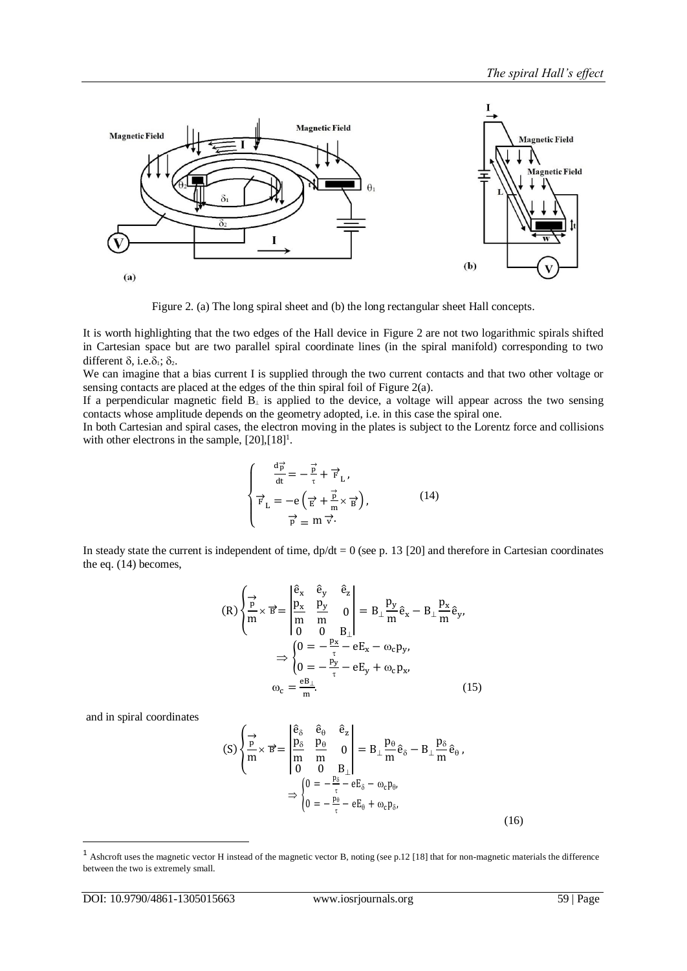

Figure 2. (a) The long spiral sheet and (b) the long rectangular sheet Hall concepts.

<span id="page-3-0"></span>It is worth highlighting that the two edges of the Hall device in [Figure 2](#page-3-0) are not two logarithmic spirals shifted in Cartesian space but are two parallel spiral coordinate lines (in the spiral manifold) corresponding to two different  $\delta$ , i.e. $\delta_1$ ;  $\delta_2$ .

We can imagine that a bias current I is supplied through the two current contacts and that two other voltage or sensing contacts are placed at the edges of the thin spiral foil of [Figure 2\(](#page-3-0)a).

If a perpendicular magnetic field  $\overline{B}_{\perp}$  is applied to the device, a voltage will appear across the two sensing contacts whose amplitude depends on the geometry adopted, i.e. in this case the spiral one.

In both Cartesian and spiral cases, the electron moving in the plates is subject to the Lorentz force and collisions with other electrons in the sample, [\[20\]](#page-7-13)[,\[18\]](#page-7-10)<sup>1</sup>.

$$
\begin{cases}\n\frac{d\vec{p}}{dt} = -\frac{\vec{p}}{r} + \vec{F}_L, \\
\vec{F}_L = -e\left(\frac{\vec{p}}{E} + \frac{\vec{p}}{m} \times \vec{B}\right), \\
\vec{p} = m \vec{v}.\n\end{cases}
$$
\n(14)

In steady state the current is independent of time,  $dp/dt = 0$  (see p. 13 [\[20\]](#page-7-13) and therefore in Cartesian coordinates the eq. (14) becomes,

$$
(R)\begin{cases} \frac{1}{p} \\ \frac{p}{m} \times \mathbf{B} = \begin{vmatrix} \hat{\mathbf{e}}_x & \hat{\mathbf{e}}_y & \hat{\mathbf{e}}_z \\ \frac{p_x}{m} & \frac{p_y}{m} & 0 \\ 0 & 0 & \mathbf{B} \end{vmatrix} = \mathbf{B}_{\perp} \frac{p_y}{m} \hat{\mathbf{e}}_x - \mathbf{B}_{\perp} \frac{p_x}{m} \hat{\mathbf{e}}_y, \\ 0 = -\frac{p_x}{\tau} - \mathbf{e} \mathbf{E}_x - \omega_c \mathbf{p}_y, \\ 0 = -\frac{p_y}{\tau} - \mathbf{e} \mathbf{E}_y + \omega_c \mathbf{p}_x, \\ \omega_c = \frac{\mathbf{e} \mathbf{B}_{\perp}}{m}. \end{cases}
$$
(15)

and in spiral coordinates

1

$$
(S)\begin{cases} \frac{1}{p} \times \mathbf{B} = \begin{vmatrix} \hat{\mathbf{e}}_{\delta} & \hat{\mathbf{e}}_{\theta} & \hat{\mathbf{e}}_{z} \\ \frac{p_{\delta}}{m} & \frac{p_{\theta}}{m} & 0 \\ 0 & 0 & B \end{vmatrix} = B_{\perp} \frac{p_{\theta}}{m} \hat{\mathbf{e}}_{\delta} - B_{\perp} \frac{p_{\delta}}{m} \hat{\mathbf{e}}_{\theta}, \\ \frac{p_{\delta} - \mathbf{B}_{\delta}}{m} - \mathbf{B}_{\delta} - \omega_{c} p_{\theta}, \\ 0 = -\frac{p_{\theta}}{\tau} - \mathbf{B}_{\theta} + \omega_{c} p_{\delta}, \end{cases}
$$
\n
$$
(16)
$$

<sup>1</sup> Ashcroft uses the magnetic vector H instead of the magnetic vector B, noting (see p.12 [\[18\]](#page-7-10) that for non-magnetic materials the difference between the two is extremely small.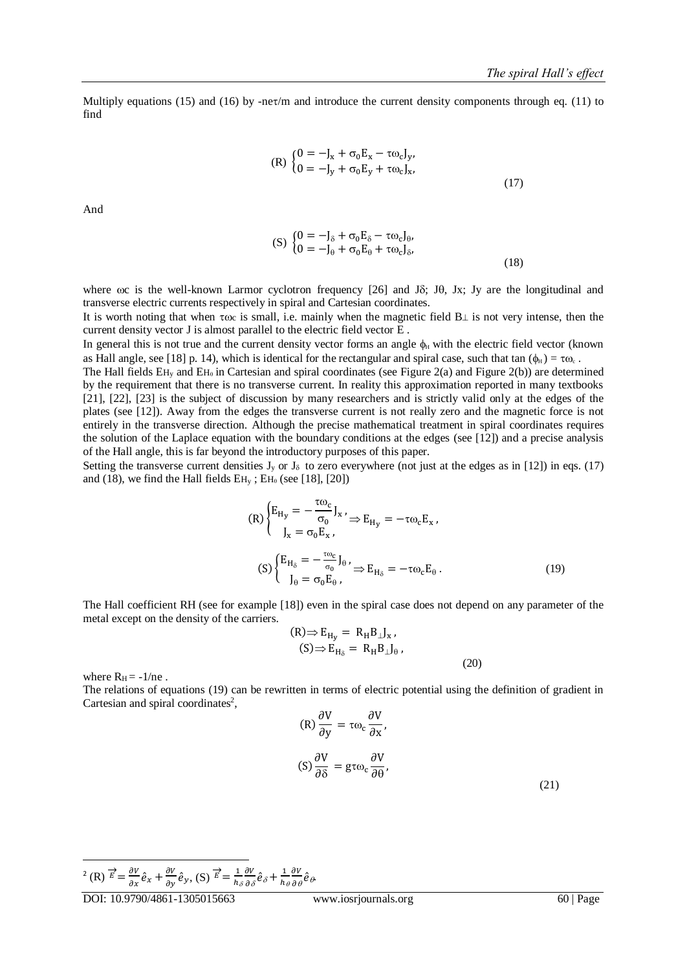Multiply equations (15) and (16) by -net/m and introduce the current density components through eq. (11) to find

(R) 
$$
\begin{cases} 0 = -J_x + \sigma_0 E_x - \tau \omega_c J_y, \\ 0 = -J_y + \sigma_0 E_y + \tau \omega_c J_x, \end{cases}
$$
 (17)

And

$$
\begin{aligned} \text{(S)} \, \left\{ \begin{aligned} 0 &= -\mathbf{J}_{\delta} + \sigma_0 \mathbf{E}_{\delta} - \tau \omega_c \mathbf{J}_{\theta}, \\ 0 &= -\mathbf{J}_{\theta} + \sigma_0 \mathbf{E}_{\theta} + \tau \omega_c \mathbf{J}_{\delta}, \end{aligned} \right. \\ \text{(18)} \end{aligned}
$$

where  $\omega$ c is the well-known Larmor cyclotron frequency [\[26\]](#page-7-14) and J $\delta$ ; J $\theta$ , Jx; Jy are the longitudinal and transverse electric currents respectively in spiral and Cartesian coordinates.

It is worth noting that when  $\tau \omega$  is small, i.e. mainly when the magnetic field B $\perp$  is not very intense, then the current density vector J is almost parallel to the electric field vector E .

In general this is not true and the current density vector forms an angle  $\phi_H$  with the electric field vector (known as Hall angle, see [\[18\]](#page-7-10) p. 14), which is identical for the rectangular and spiral case, such that tan  $(\phi_H) = \tau \omega_c$ .

The Hall fields  $EH_v$  and  $EH_\theta$  in Cartesian and spiral coordinates (see [Figure 2\(](#page-3-0)a) and Figure 2(b)) are determined by the requirement that there is no transverse current. In reality this approximation reported in many textbooks [\[21\],](#page-7-15) [\[22\],](#page-7-16) [\[23\]](#page-7-17) is the subject of discussion by many researchers and is strictly valid only at the edges of the plates (see [\[12\]\)](#page-7-4). Away from the edges the transverse current is not really zero and the magnetic force is not entirely in the transverse direction. Although the precise mathematical treatment in spiral coordinates requires the solution of the Laplace equation with the boundary conditions at the edges (see [\[12\]\)](#page-7-4) and a precise analysis of the Hall angle, this is far beyond the introductory purposes of this paper.

Setting the transverse current densities  $J_y$  or  $J_\delta$  to zero everywhere (not just at the edges as in [\[12\]\)](#page-7-4) in eqs. (17) and (18), we find the Hall fields  $EH_v$ ;  $EH_\theta$  (see [\[18\],](#page-7-10) [\[20\]\)](#page-7-13)

$$
(R)\begin{cases} E_{H_y} = -\frac{\tau \omega_c}{\sigma_0} J_x \le E_{H_y} = -\tau \omega_c E_x, \\ J_x = \sigma_0 E_x, \end{cases}
$$

$$
(S)\begin{cases} E_{H_\delta} = -\frac{\tau \omega_c}{\sigma_0} J_\theta \le E_{H_\delta} = -\tau \omega_c E_\theta. \\ J_\theta = \sigma_0 E_\theta, \end{cases}
$$
(19)

The Hall coefficient RH (see for example [\[18\]\)](#page-7-10) even in the spiral case does not depend on any parameter of the metal except on the density of the carriers.

$$
\begin{aligned} \n\text{(R)} &\Rightarrow \text{E}_{\text{H}_{\text{y}}} = \text{R}_{\text{H}} \text{B}_{\perp} \text{J}_{\text{x}} \,, \\ \n\text{(S)} &\Rightarrow \text{E}_{\text{H}_{\text{S}}} = \text{R}_{\text{H}} \text{B}_{\perp} \text{J}_{\theta} \,, \n\end{aligned}
$$

where  $R_H = -1/ne$ .

The relations of equations (19) can be rewritten in terms of electric potential using the definition of gradient in Cartesian and spiral coordinates 2 , ov∙

$$
(R)\frac{\partial V}{\partial y} = \tau\omega_c \frac{\partial V}{\partial x},
$$

$$
(S)\frac{\partial V}{\partial \delta} = g\tau\omega_c \frac{\partial V}{\partial \theta},
$$
(21)

(20)

-<sup>2</sup> (R)  $\overrightarrow{E} = \frac{\partial V}{\partial x} \hat{e}_x + \frac{\partial V}{\partial y} \hat{e}_y$ , (S)  $\overrightarrow{E} = \frac{1}{h}$  $h_{\delta}$  $\partial V$  $\frac{\partial V}{\partial \delta} \hat{e}_{\delta} + \frac{1}{h}$  $h_\theta$  $\partial V$  $\frac{\partial V}{\partial \theta} \hat{e}_{\theta}$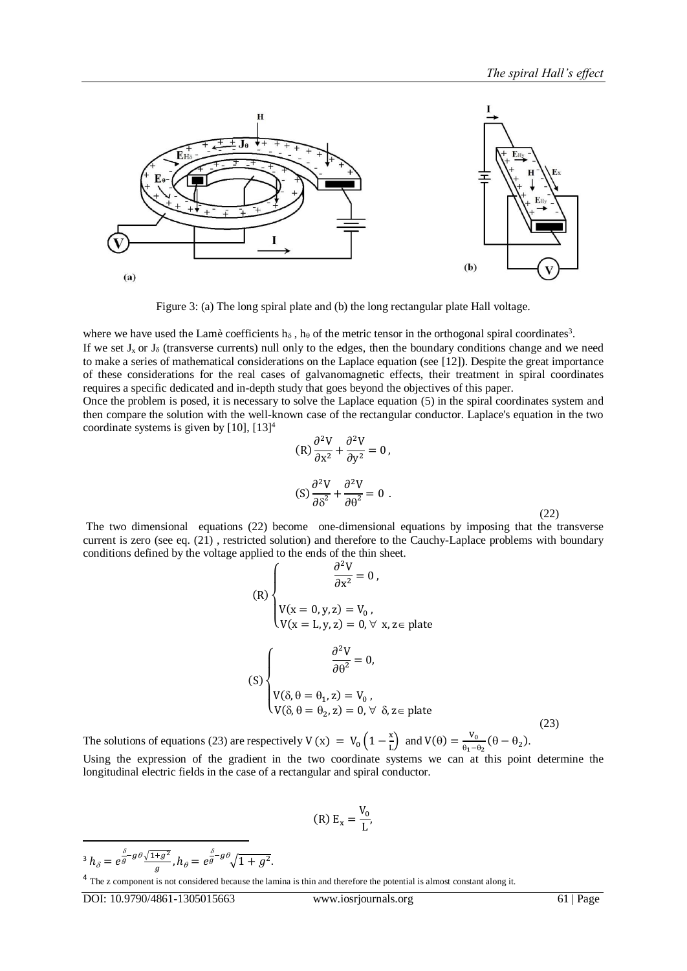

Figure 3: (a) The long spiral plate and (b) the long rectangular plate Hall voltage.

where we have used the Lamè coefficients h<sub> $\delta$ </sub>, h<sub> $\theta$ </sub> of the metric tensor in the orthogonal spiral coordinates<sup>3</sup>.

If we set  $J_x$  or  $J_\delta$  (transverse currents) null only to the edges, then the boundary conditions change and we need to make a series of mathematical considerations on the Laplace equation (see [\[12\]\)](#page-7-4). Despite the great importance of these considerations for the real cases of galvanomagnetic effects, their treatment in spiral coordinates requires a specific dedicated and in-depth study that goes beyond the objectives of this paper.

Once the problem is posed, it is necessary to solve the Laplace equation (5) in the spiral coordinates system and then compare the solution with the well-known case of the rectangular conductor. Laplace's equation in the two coordinate systems is given by [\[10\],](#page-7-1) [\[13\]](#page-7-5)<sup>4</sup>

$$
(R)\frac{\partial^2 V}{\partial x^2} + \frac{\partial^2 V}{\partial y^2} = 0,
$$
  

$$
(S)\frac{\partial^2 V}{\partial \delta^2} + \frac{\partial^2 V}{\partial \theta^2} = 0.
$$
 (22)

The two dimensional equations (22) become one-dimensional equations by imposing that the transverse current is zero (see eq. (21) , restricted solution) and therefore to the Cauchy-Laplace problems with boundary conditions defined by the voltage applied to the ends of the thin sheet.

(R)  
\n
$$
\begin{cases}\n\frac{\partial^2 V}{\partial x^2} = 0, \\
V(x = 0, y, z) = V_0, \\
V(x = L, y, z) = 0, \forall x, z \in \text{plate}\n\end{cases}
$$
\n(S)  
\n
$$
\begin{cases}\n\frac{\partial^2 V}{\partial \theta^2} = 0, \\
V(\delta, \theta = \theta_1, z) = V_0, \\
V(\delta, \theta = \theta_2, z) = 0, \forall \delta, z \in \text{plate}\n\end{cases}
$$
\n(23)

The solutions of equations (23) are respectively V (x) =  $V_0 \left(1 - \frac{x}{l}\right)$  $\left(\frac{\mathbf{x}}{\mathbf{L}}\right)$  and  $\mathbf{V}(\theta) = \frac{\mathbf{V_0}}{\theta_1 - \theta_2}$  $\frac{\mathbf{v}_0}{\mathbf{\theta}_1-\mathbf{\theta}_2}(\mathbf{\theta}-\mathbf{\theta}_2).$ Using the expression of the gradient in the two coordinate systems we can at this point determine the longitudinal electric fields in the case of a rectangular and spiral conductor.

$$
(R) E_x = \frac{V_0}{L'}
$$

-<sup>3</sup>  $h_{\delta} = e^{\frac{\delta}{g} - g \theta \sqrt{1 + g^2}}$  $\frac{\overline{+g^2}}{g}$ ,  $h_\theta=e^{\frac{\delta}{g}-g\theta}\sqrt{1+g^2}.$ 

<sup>&</sup>lt;sup>4</sup> The z component is not considered because the lamina is thin and therefore the potential is almost constant along it.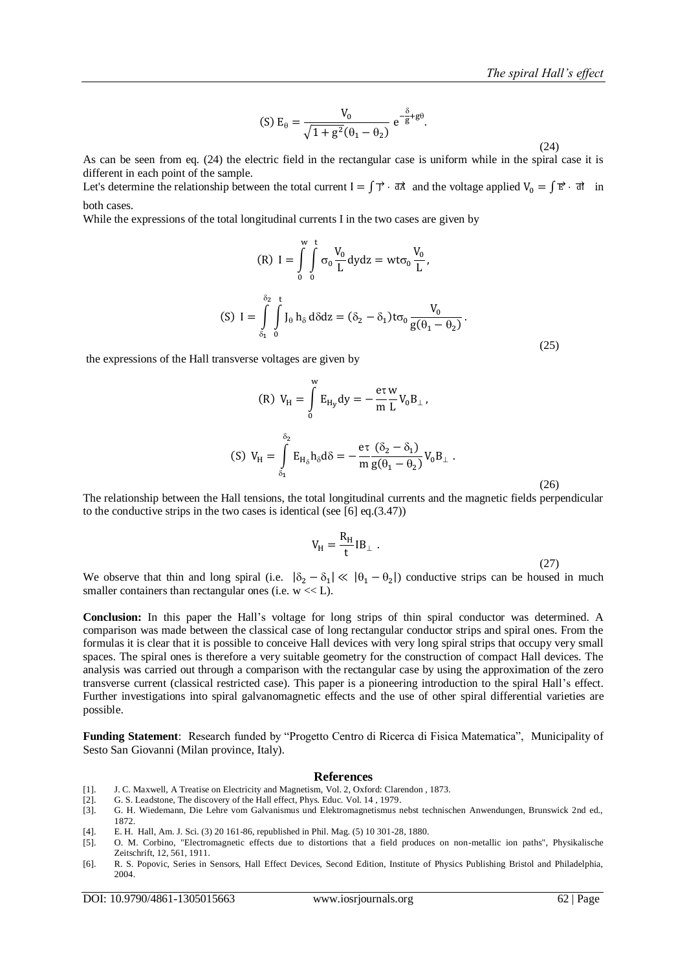(S) 
$$
E_{\theta} = \frac{V_0}{\sqrt{1 + g^2}(\theta_1 - \theta_2)} e^{-\frac{\delta}{g} + g\theta}
$$
.

 $(24)$ 

As can be seen from eq. (24) the electric field in the rectangular case is uniform while in the spiral case it is different in each point of the sample.

Let's determine the relationship between the total current  $I = \int \vec{y} \cdot d\vec{A}$  and the voltage applied  $V_0 = \int \vec{E} \cdot d\vec{A}$  in both cases.

While the expressions of the total longitudinal currents I in the two cases are given by

(R) 
$$
I = \int_{0}^{w} \int_{0}^{t} \sigma_{0} \frac{V_{0}}{L} dydz = wt\sigma_{0} \frac{V_{0}}{L},
$$
  
\n(S)  $I = \int_{\delta_{1}}^{\delta_{2}} \int_{0}^{t} J_{\theta} h_{\delta} d\delta dz = (\delta_{2} - \delta_{1}) t\sigma_{0} \frac{V_{0}}{g(\theta_{1} - \theta_{2})}.$  (25)

the expressions of the Hall transverse voltages are given by

(R) 
$$
V_{H} = \int_{0}^{w} E_{H_{y}} dy = -\frac{e\tau}{m} \frac{w}{L} V_{0} B_{\perp},
$$
  
\n(S) 
$$
V_{H} = \int_{\delta_{1}}^{\delta_{2}} E_{H_{\delta}} h_{\delta} d\delta = -\frac{e\tau}{m} \frac{(\delta_{2} - \delta_{1})}{g(\theta_{1} - \theta_{2})} V_{0} B_{\perp}.
$$
\n(26)

The relationship between the Hall tensions, the total longitudinal currents and the magnetic fields perpendicular to the conductive strips in the two cases is identical (see [\[6\]](#page-6-5) eq.(3.47))

$$
V_{H} = \frac{R_{H}}{t} I B_{\perp} .
$$
 (27)

We observe that thin and long spiral (i.e.  $|\delta_2 - \delta_1| \ll |\theta_1 - \theta_2|$ ) conductive strips can be housed in much smaller containers than rectangular ones (i.e.  $w \ll L$ ).

**Conclusion:** In this paper the Hall's voltage for long strips of thin spiral conductor was determined. A comparison was made between the classical case of long rectangular conductor strips and spiral ones. From the formulas it is clear that it is possible to conceive Hall devices with very long spiral strips that occupy very small spaces. The spiral ones is therefore a very suitable geometry for the construction of compact Hall devices. The analysis was carried out through a comparison with the rectangular case by using the approximation of the zero transverse current (classical restricted case). This paper is a pioneering introduction to the spiral Hall's effect. Further investigations into spiral galvanomagnetic effects and the use of other spiral differential varieties are possible.

**Funding Statement**: Research funded by "Progetto Centro di Ricerca di Fisica Matematica", Municipality of Sesto San Giovanni (Milan province, Italy).

#### **References**

- <span id="page-6-0"></span>[1]. J. C. Maxwell, A Treatise on Electricity and Magnetism, Vol. 2, Oxford: Clarendon , 1873.
- <span id="page-6-1"></span>[2]. G. S. Leadstone, The discovery of the Hall effect, Phys. Educ. Vol. 14 , 1979.
- <span id="page-6-2"></span>[3]. G. H. Wiedemann, Die Lehre vom Galvanismus und Elektromagnetismus nebst technischen Anwendungen, Brunswick 2nd ed., 1872.
- <span id="page-6-3"></span>[4]. E. H. Hall, Am. J. Sci. (3) 20 161-86, republished in Phil. Mag. (5) 10 301-28, 1880.
- <span id="page-6-4"></span>[5]. O. M. Corbino, "Electromagnetic effects due to distortions that a field produces on non-metallic ion paths", Physikalische Zeitschrift, 12, 561, 1911.
- <span id="page-6-5"></span>[6]. R. S. Popovic, Series in Sensors, Hall Effect Devices, Second Edition, Institute of Physics Publishing Bristol and Philadelphia, 2004.